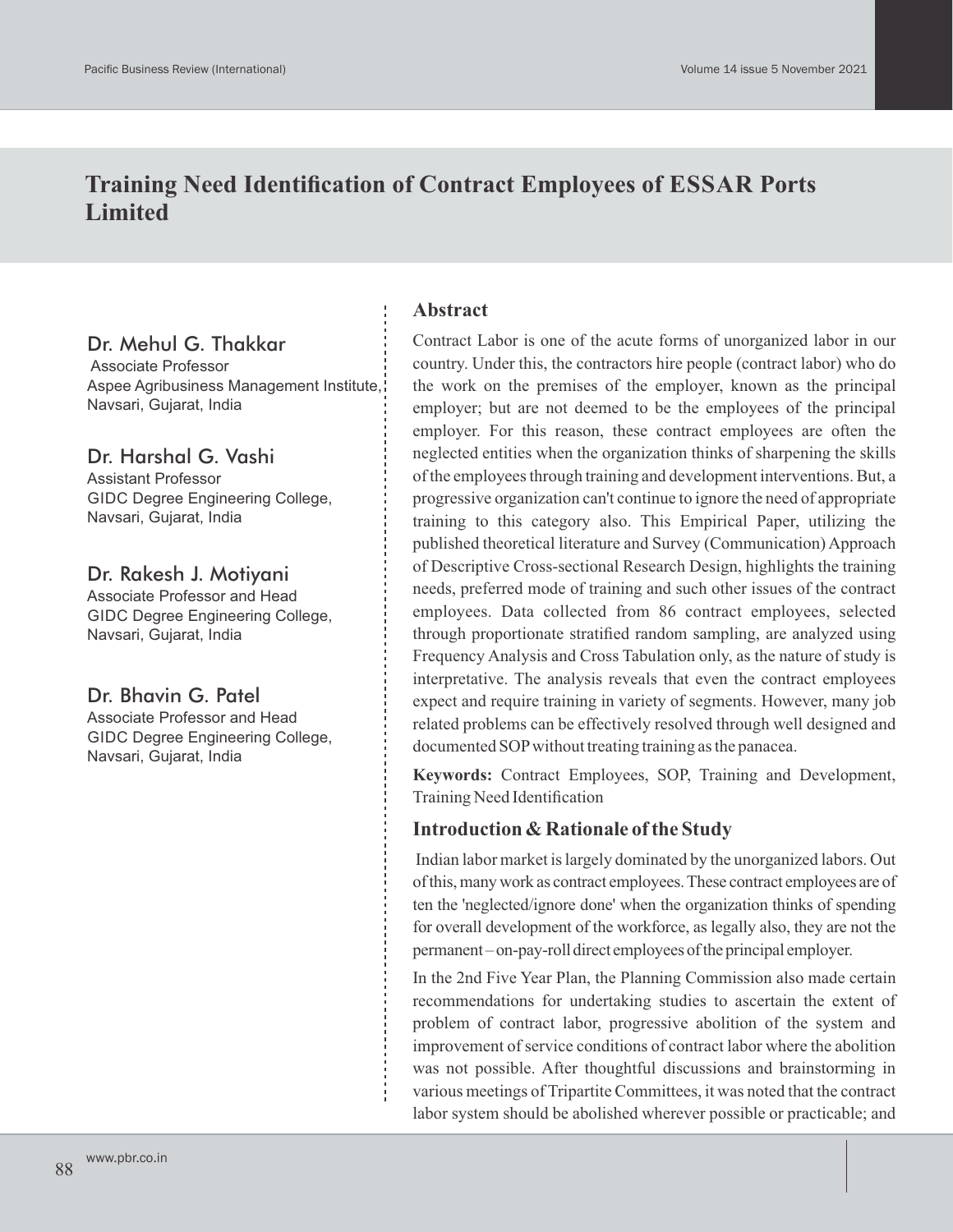# **Training Need Identification of Contract Employees of ESSAR Ports Limited**

# Dr. Mehul G. Thakkar

Associate Professor Aspee Agribusiness Management Institute, Navsari, Gujarat, India

### Dr. Harshal G. Vashi

Assistant Professor GIDC Degree Engineering College, Navsari, Gujarat, India

### Dr. Rakesh J. Motiyani

Associate Professor and Head GIDC Degree Engineering College, Navsari, Gujarat, India

# Dr. Bhavin G. Patel

Associate Professor and Head GIDC Degree Engineering College, Navsari, Gujarat, India

### **Abstract**

Contract Labor is one of the acute forms of unorganized labor in our country. Under this, the contractors hire people (contract labor) who do the work on the premises of the employer, known as the principal employer; but are not deemed to be the employees of the principal employer. For this reason, these contract employees are often the neglected entities when the organization thinks of sharpening the skills of the employees through training and development interventions. But, a progressive organization can't continue to ignore the need of appropriate training to this category also. This Empirical Paper, utilizing the published theoretical literature and Survey (Communication) Approach of Descriptive Cross-sectional Research Design, highlights the training needs, preferred mode of training and such other issues of the contract employees. Data collected from 86 contract employees, selected through proportionate stratified random sampling, are analyzed using Frequency Analysis and Cross Tabulation only, as the nature of study is interpretative. The analysis reveals that even the contract employees expect and require training in variety of segments. However, many job related problems can be effectively resolved through well designed and documented SOPwithout treating training as the panacea.

**Keywords:** Contract Employees, SOP, Training and Development, Training Need Identification

# **Introduction & Rationale of the Study**

Indian labor market is largely dominated by the unorganized labors. Out ofthis,manywork as contract employees.These contract employees are of ten the 'neglected/ignore done' when the organization thinks of spending for overall development of the workforce, as legally also, they are not the permanent–on-pay-roll direct employees of the principal employer.

In the 2nd Five Year Plan, the Planning Commission also made certain recommendations for undertaking studies to ascertain the extent of problem of contract labor, progressive abolition of the system and improvement of service conditions of contract labor where the abolition was not possible. After thoughtful discussions and brainstorming in various meetings of Tripartite Committees, it was noted that the contract labor system should be abolished wherever possible or practicable; and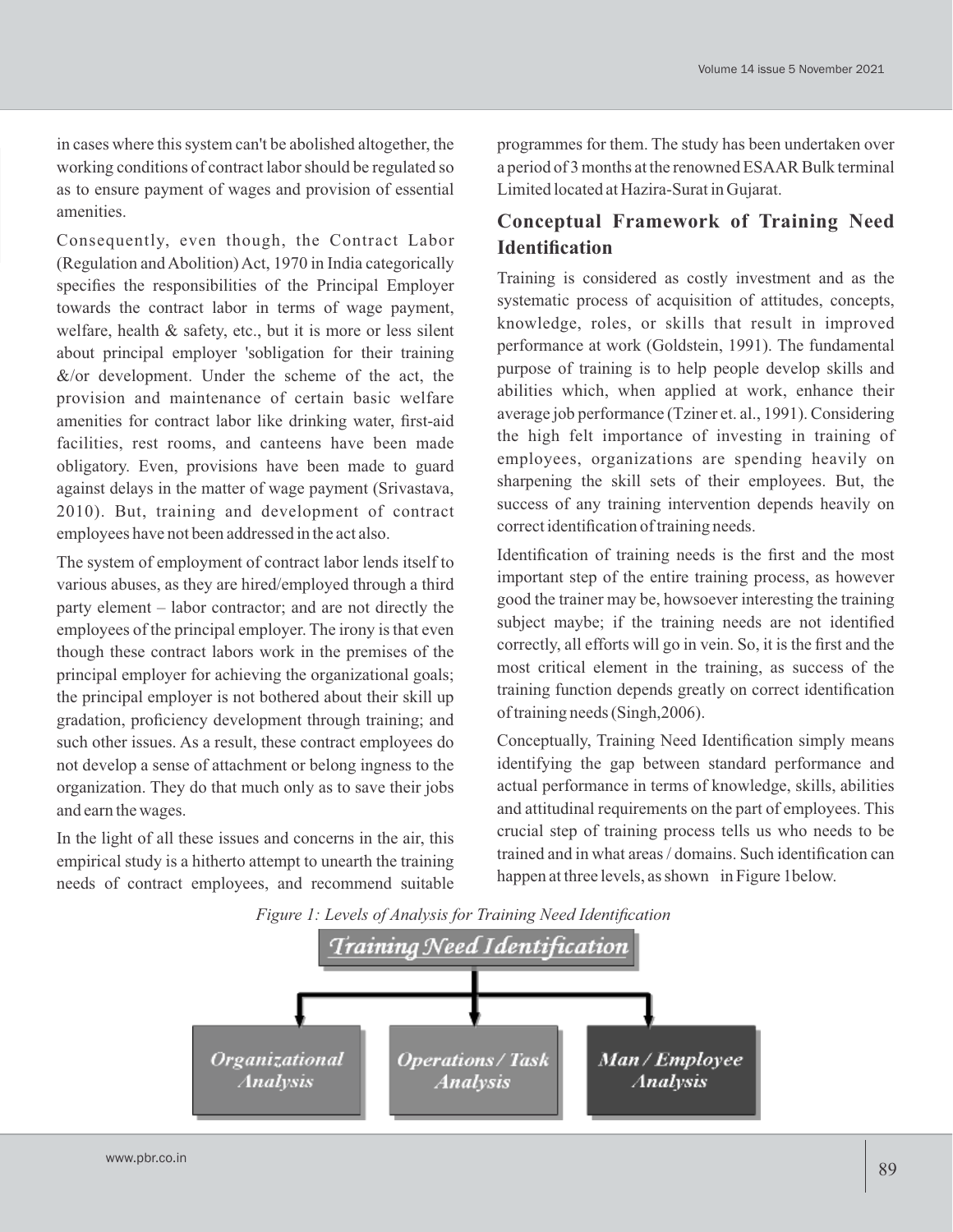in cases where this system can't be abolished altogether, the working conditions of contract labor should be regulated so as to ensure payment of wages and provision of essential amenities.

Consequently, even though, the Contract Labor (Regulation and Abolition) Act, 1970 in India categorically specifies the responsibilities of the Principal Employer towards the contract labor in terms of wage payment, welfare, health & safety, etc., but it is more or less silent about principal employer 'sobligation for their training  $&$ /or development. Under the scheme of the act, the provision and maintenance of certain basic welfare amenities for contract labor like drinking water, first-aid facilities, rest rooms, and canteens have been made obligatory. Even, provisions have been made to guard against delays in the matter of wage payment (Srivastava, 2010). But, training and development of contract employees have not been addressed in the act also.

The system of employment of contract labor lends itself to various abuses, as they are hired/employed through a third party element – labor contractor; and are not directly the employees of the principal employer. The irony is that even though these contract labors work in the premises of the principal employer for achieving the organizational goals; the principal employer is not bothered about their skill up gradation, proficiency development through training; and such other issues. As a result, these contract employees do not develop a sense of attachment or belong ingness to the organization. They do that much only as to save their jobs and earn the wages.

In the light of all these issues and concerns in the air, this empirical study is a hitherto attempt to unearth the training needs of contract employees, and recommend suitable

programmes for them. The study has been undertaken over a period of 3 months at the renowned ESAAR Bulk terminal Limited located at Hazira-Surat in Gujarat.

# **Conceptual Framework of Training Need Identification**

Training is considered as costly investment and as the systematic process of acquisition of attitudes, concepts, knowledge, roles, or skills that result in improved performance at work (Goldstein, 1991). The fundamental purpose of training is to help people develop skills and abilities which, when applied at work, enhance their average job performance (Tziner et. al., 1991). Considering the high felt importance of investing in training of employees, organizations are spending heavily on sharpening the skill sets of their employees. But, the success of any training intervention depends heavily on correct identification of training needs.

Identification of training needs is the first and the most important step of the entire training process, as however good the trainer may be, howsoever interesting the training subject maybe; if the training needs are not identified correctly, all efforts will go in vein. So, it is the first and the most critical element in the training, as success of the training function depends greatly on correct identification of training needs (Singh,2006).

Conceptually, Training Need Identification simply means identifying the gap between standard performance and actual performance in terms of knowledge, skills, abilities and attitudinal requirements on the part of employees. This crucial step of training process tells us who needs to be trained and in what areas / domains. Such identification can happen at three levels, as shown in Figure 1below.

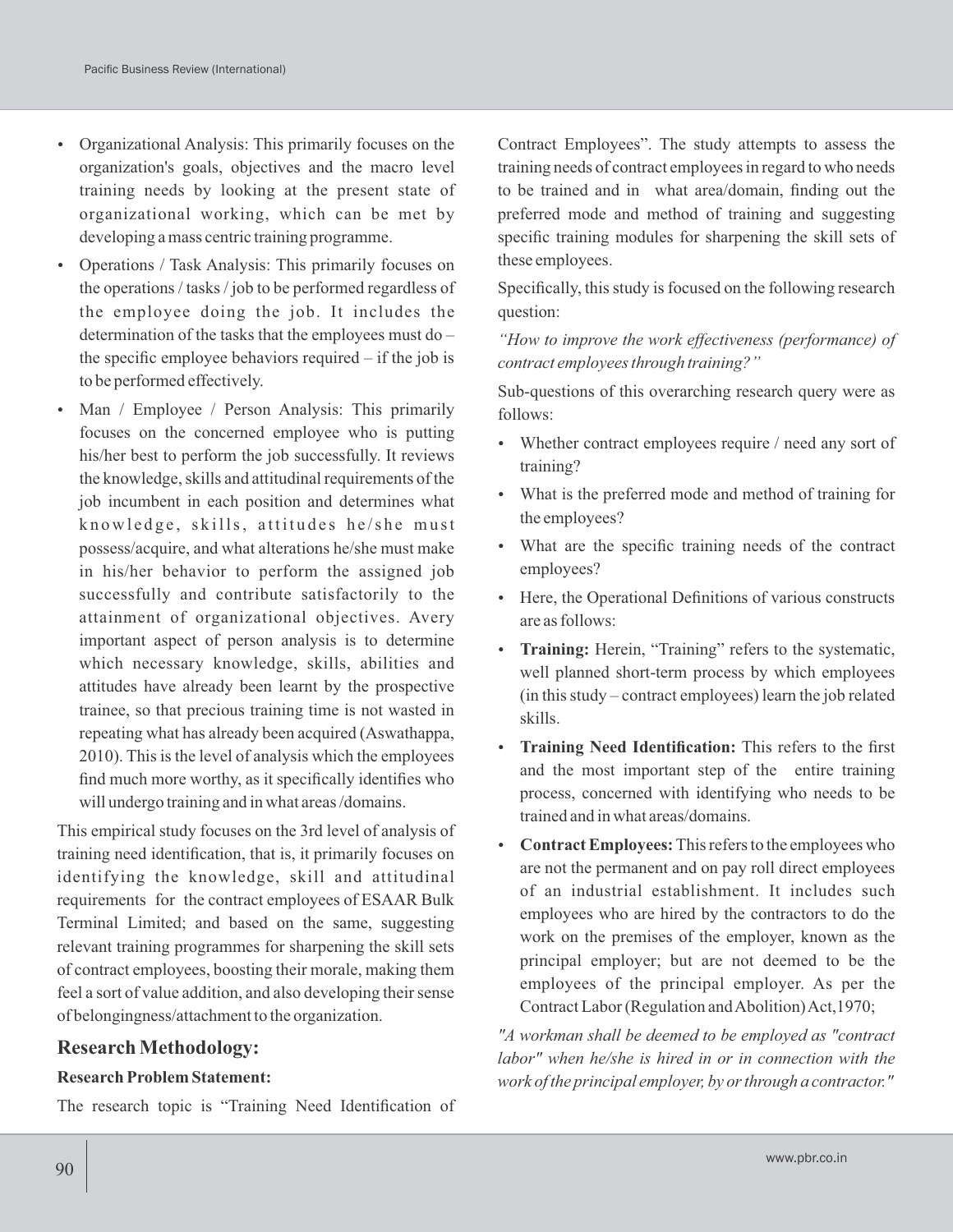- Organizational Analysis: This primarily focuses on the organization's goals, objectives and the macro level training needs by looking at the present state of organizational working, which can be met by developing a mass centric training programme.
- Operations / Task Analysis: This primarily focuses on the operations / tasks / job to be performed regardless of the employee doing the job. It includes the determination of the tasks that the employees must do – the specific employee behaviors required – if the job is to be performed effectively.
- Man / Employee / Person Analysis: This primarily focuses on the concerned employee who is putting his/her best to perform the job successfully. It reviews the knowledge, skills and attitudinal requirements of the job incumbent in each position and determines what knowledge, skills, attitudes he/she must possess/acquire, and what alterations he/she must make in his/her behavior to perform the assigned job successfully and contribute satisfactorily to the attainment of organizational objectives. Avery important aspect of person analysis is to determine which necessary knowledge, skills, abilities and attitudes have already been learnt by the prospective trainee, so that precious training time is not wasted in repeating what has already been acquired (Aswathappa, 2010). This is the level of analysis which the employees find much more worthy, as it specifically identifies who will undergo training and in what areas /domains.

This empirical study focuses on the 3rd level of analysis of training need identification, that is, it primarily focuses on identifying the knowledge, skill and attitudinal requirements for the contract employees of ESAAR Bulk Terminal Limited; and based on the same, suggesting relevant training programmes for sharpening the skill sets of contract employees, boosting their morale, making them feel a sort of value addition, and also developing their sense of belongingness/attachment to the organization.

#### **Research Methodology:**

#### **Research Problem Statement:**

The research topic is "Training Need Identification of

Contract Employees". The study attempts to assess the training needs of contract employees in regard to who needs to be trained and in what area/domain, finding out the preferred mode and method of training and suggesting specific training modules for sharpening the skill sets of these employees.

Specifically, this study is focused on the following research question:

*"How to improve the work effectiveness (performance) of contract employees through training?"*

Sub-questions of this overarching research query were as follows:

- Whether contract employees require / need any sort of training?
- What is the preferred mode and method of training for the employees?
- What are the specific training needs of the contract employees?
- Here, the Operational Definitions of various constructs are as follows:
- **Training:** Herein, "Training" refers to the systematic, well planned short-term process by which employees (in this study – contract employees) learn the job related skills.
- **Training Need Identification:** This refers to the first and the most important step of the entire training process, concerned with identifying who needs to be trained and in what areas/domains.
- **Contract Employees:** This refers to the employees who are not the permanent and on pay roll direct employees of an industrial establishment. It includes such employees who are hired by the contractors to do the work on the premises of the employer, known as the principal employer; but are not deemed to be the employees of the principal employer. As per the Contract Labor (Regulation and Abolition) Act,1970;

*"A workman shall be deemed to be employed as "contract labor" when he/she is hired in or in connection with the work of the principal employer, by or through a contractor."*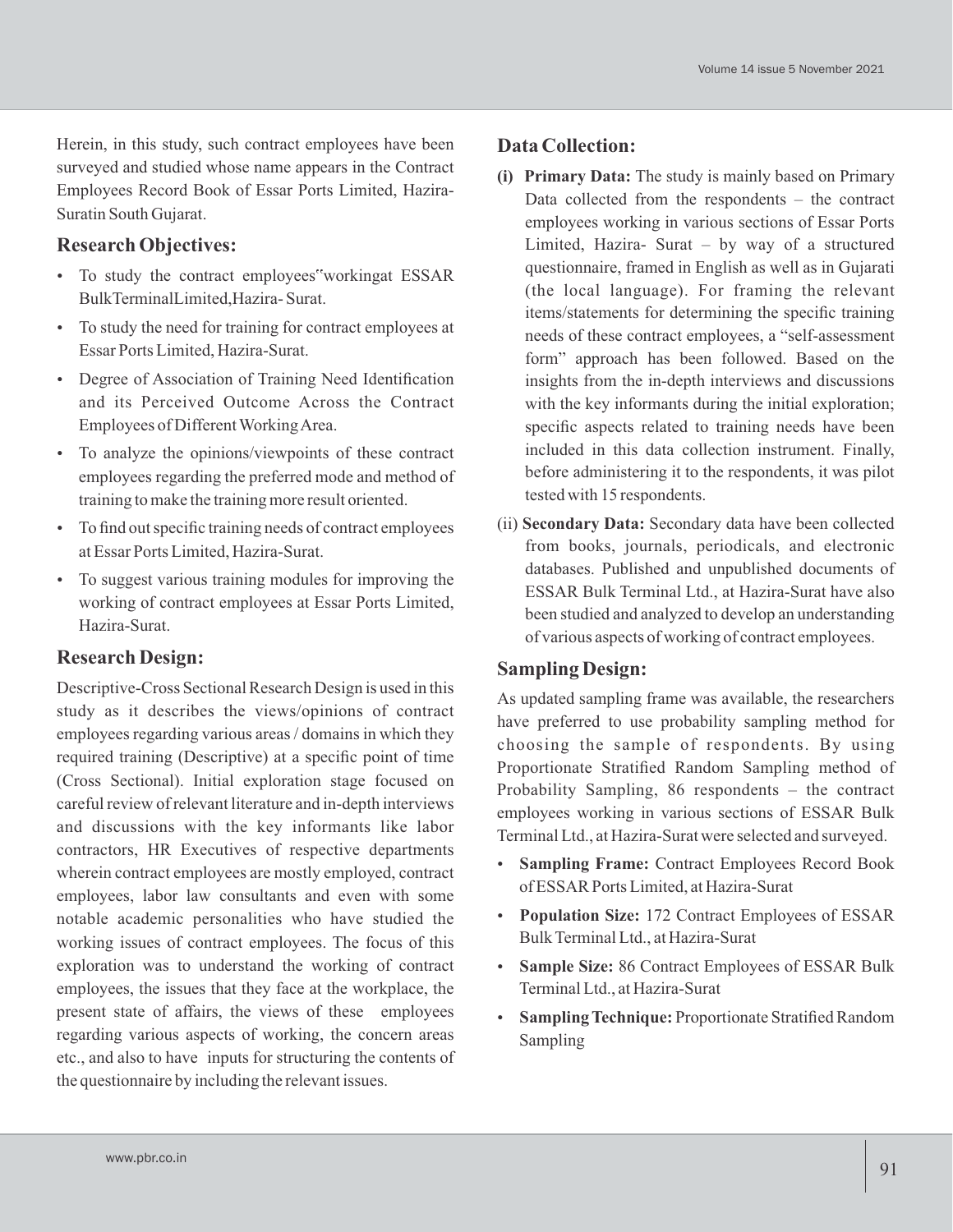Herein, in this study, such contract employees have been surveyed and studied whose name appears in the Contract Employees Record Book of Essar Ports Limited, Hazira-Suratin South Gujarat.

# **Research Objectives:**

- To study the contract employees"workingat ESSAR BulkTerminalLimited,Hazira- Surat.
- To study the need for training for contract employees at Essar Ports Limited, Hazira-Surat.
- Degree of Association of Training Need Identification and its Perceived Outcome Across the Contract Employees of Different Working Area.
- To analyze the opinions/viewpoints of these contract employees regarding the preferred mode and method of training to make the training more result oriented.
- To find out specific training needs of contract employees at Essar Ports Limited, Hazira-Surat.
- To suggest various training modules for improving the working of contract employees at Essar Ports Limited, Hazira-Surat.

# **Research Design:**

Descriptive-Cross Sectional Research Design is used in this study as it describes the views/opinions of contract employees regarding various areas / domains in which they required training (Descriptive) at a specific point of time (Cross Sectional). Initial exploration stage focused on careful review of relevant literature and in-depth interviews and discussions with the key informants like labor contractors, HR Executives of respective departments wherein contract employees are mostly employed, contract employees, labor law consultants and even with some notable academic personalities who have studied the working issues of contract employees. The focus of this exploration was to understand the working of contract employees, the issues that they face at the workplace, the present state of affairs, the views of these employees regarding various aspects of working, the concern areas etc., and also to have inputs for structuring the contents of the questionnaire by including the relevant issues.

### **Data Collection:**

- **(i) Primary Data:** The study is mainly based on Primary Data collected from the respondents – the contract employees working in various sections of Essar Ports Limited, Hazira- Surat – by way of a structured questionnaire, framed in English as well as in Gujarati (the local language). For framing the relevant items/statements for determining the specific training needs of these contract employees, a "self-assessment form" approach has been followed. Based on the insights from the in-depth interviews and discussions with the key informants during the initial exploration; specific aspects related to training needs have been included in this data collection instrument. Finally, before administering it to the respondents, it was pilot tested with 15 respondents.
- (ii) **Secondary Data:** Secondary data have been collected from books, journals, periodicals, and electronic databases. Published and unpublished documents of ESSAR Bulk Terminal Ltd., at Hazira-Surat have also been studied and analyzed to develop an understanding of various aspects of working of contract employees.

# **Sampling Design:**

As updated sampling frame was available, the researchers have preferred to use probability sampling method for choosing the sample of respondents. By using Proportionate Stratified Random Sampling method of Probability Sampling, 86 respondents – the contract employees working in various sections of ESSAR Bulk Terminal Ltd., at Hazira-Surat were selected and surveyed.

- **Sampling Frame:** Contract Employees Record Book of ESSAR Ports Limited, at Hazira-Surat
- **Population Size:** 172 Contract Employees of ESSAR Bulk Terminal Ltd., at Hazira-Surat
- **Sample Size:** 86 Contract Employees of ESSAR Bulk Terminal Ltd., at Hazira-Surat
- **Sampling Technique:** Proportionate Stratified Random Sampling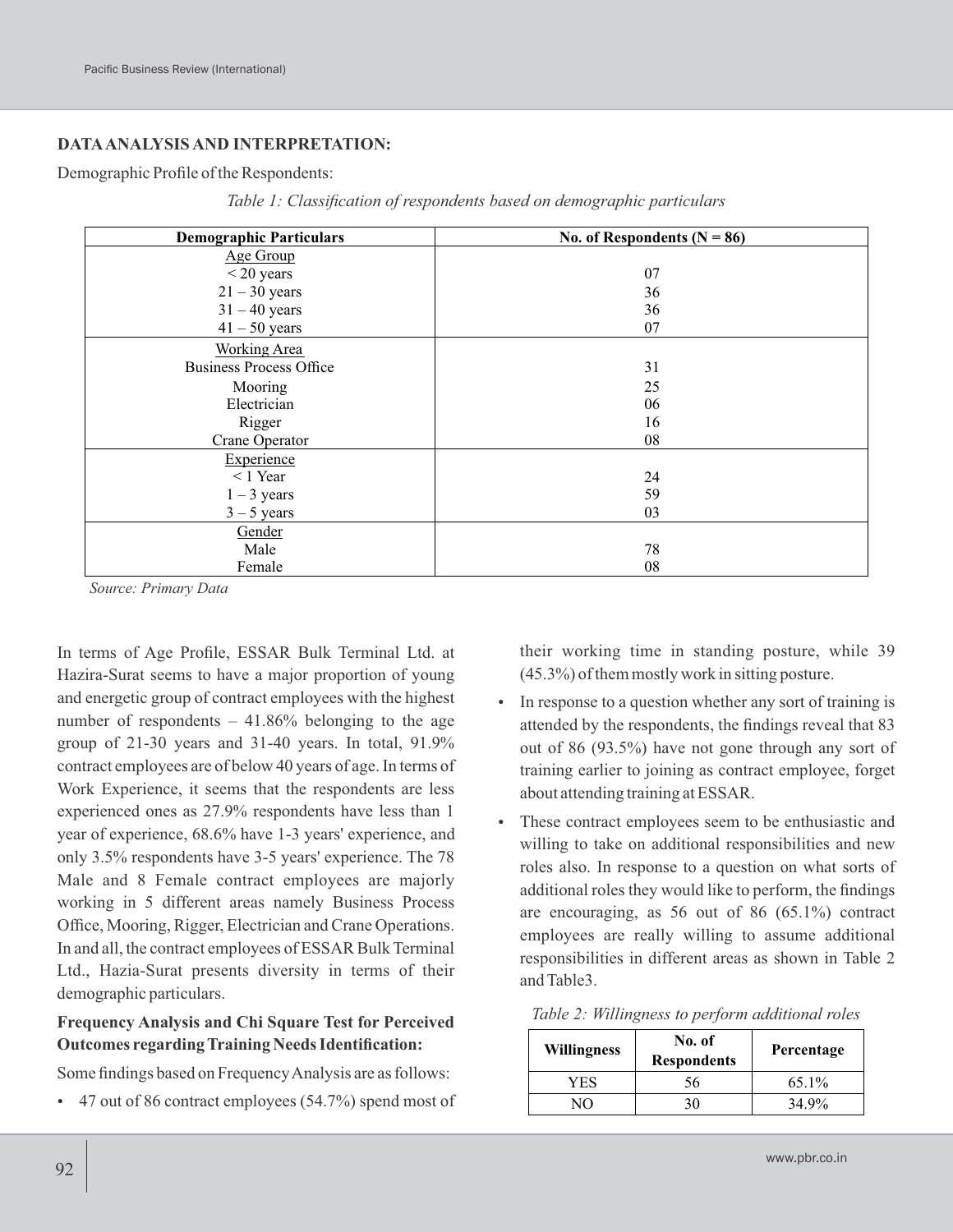### **DATAANALYSIS AND INTERPRETATION:**

#### Demographic Profile of the Respondents:

| <b>Demographic Particulars</b> | No. of Respondents ( $N = 86$ ) |  |  |
|--------------------------------|---------------------------------|--|--|
| Age Group                      |                                 |  |  |
| $<$ 20 years                   | 07                              |  |  |
| $21 - 30$ years                | 36                              |  |  |
| $31 - 40$ years                | 36                              |  |  |
| $41 - 50$ years                | 07                              |  |  |
| <b>Working Area</b>            |                                 |  |  |
| <b>Business Process Office</b> | 31                              |  |  |
| Mooring                        | 25                              |  |  |
| Electrician                    | 06                              |  |  |
| Rigger                         | 16                              |  |  |
| Crane Operator                 | 08                              |  |  |
| Experience                     |                                 |  |  |
| $< 1$ Year                     | 24                              |  |  |
| $1 - 3$ years                  | 59                              |  |  |
| $3 - 5$ years                  | 03                              |  |  |
| Gender                         |                                 |  |  |
| Male                           | 78                              |  |  |
| Female                         | 08                              |  |  |

*Table 1: Classification of respondents based on demographic particulars*

*Source: Primary Data*

In terms of Age Profile, ESSAR Bulk Terminal Ltd. at Hazira-Surat seems to have a major proportion of young and energetic group of contract employees with the highest number of respondents  $-41.86\%$  belonging to the age group of 21-30 years and 31-40 years. In total, 91.9% contract employees are of below 40 years of age. In terms of Work Experience, it seems that the respondents are less experienced ones as 27.9% respondents have less than 1 year of experience, 68.6% have 1-3 years' experience, and only 3.5% respondents have 3-5 years' experience. The 78 Male and 8 Female contract employees are majorly working in 5 different areas namely Business Process Office, Mooring, Rigger, Electrician and Crane Operations. In and all, the contract employees of ESSAR Bulk Terminal Ltd., Hazia-Surat presents diversity in terms of their demographic particulars.

#### **Frequency Analysis and Chi Square Test for Perceived Outcomes regarding Training Needs Identification:**

Some findings based on Frequency Analysis are as follows:

47 out of 86 contract employees (54.7%) spend most of

their working time in standing posture, while 39 (45.3%) of them mostly work in sitting posture.

- In response to a question whether any sort of training is attended by the respondents, the findings reveal that 83 out of 86 (93.5%) have not gone through any sort of training earlier to joining as contract employee, forget about attending training at ESSAR.
- These contract employees seem to be enthusiastic and willing to take on additional responsibilities and new roles also. In response to a question on what sorts of additional roles they would like to perform, the findings are encouraging, as 56 out of 86 (65.1%) contract employees are really willing to assume additional responsibilities in different areas as shown in Table 2 and Table3.

| Table 2: Willingness to perform additional roles |  |  |
|--------------------------------------------------|--|--|
|                                                  |  |  |

| <b>Willingness</b> | No. of<br><b>Respondents</b> | Percentage |
|--------------------|------------------------------|------------|
| YES                | 56                           | $65.1\%$   |
|                    |                              | 34.9%      |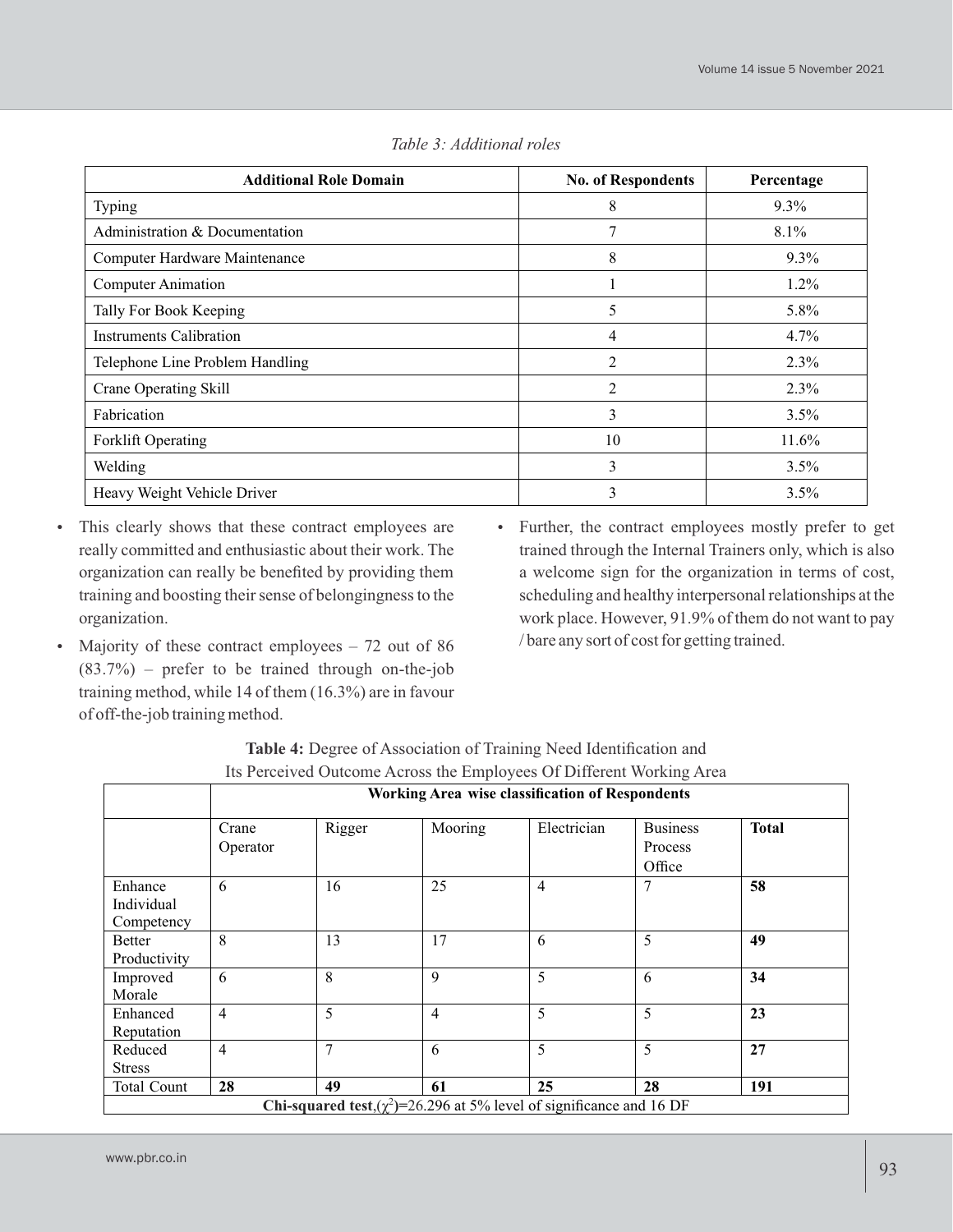| <b>Additional Role Domain</b>   | <b>No. of Respondents</b> | Percentage |
|---------------------------------|---------------------------|------------|
| Typing                          | 8                         | $9.3\%$    |
| Administration & Documentation  | 7                         | $8.1\%$    |
| Computer Hardware Maintenance   | 8                         | $9.3\%$    |
| <b>Computer Animation</b>       | H                         | $1.2\%$    |
| Tally For Book Keeping          | 5                         | 5.8%       |
| Instruments Calibration         | 4                         | $4.7\%$    |
| Telephone Line Problem Handling | $\overline{2}$            | $2.3\%$    |
| <b>Crane Operating Skill</b>    | $\overline{2}$            | 2.3%       |
| Fabrication                     | 3                         | $3.5\%$    |
| <b>Forklift Operating</b>       | 10                        | $11.6\%$   |
| Welding                         | 3                         | $3.5\%$    |
| Heavy Weight Vehicle Driver     | 3                         | $3.5\%$    |

*Table 3: Additional roles*

- This clearly shows that these contract employees are really committed and enthusiastic about their work. The organization can really be benefited by providing them training and boosting their sense of belongingness to the organization.
- Majority of these contract employees  $-72$  out of 86  $(83.7%)$  – prefer to be trained through on-the-job training method, while 14 of them (16.3%) are in favour of off-the-job training method.
- Further, the contract employees mostly prefer to get trained through the Internal Trainers only, which is also a welcome sign for the organization in terms of cost, scheduling and healthy interpersonal relationships at the work place. However, 91.9% of them do not want to pay / bare any sort of cost for getting trained.

|                                                                            | <b>Working Area wise classification of Respondents</b> |                |                |                |                 |              |
|----------------------------------------------------------------------------|--------------------------------------------------------|----------------|----------------|----------------|-----------------|--------------|
|                                                                            |                                                        |                |                |                |                 |              |
|                                                                            | Crane                                                  | Rigger         | Mooring        | Electrician    | <b>Business</b> | <b>Total</b> |
|                                                                            | Operator                                               |                |                |                | Process         |              |
|                                                                            |                                                        |                |                |                | Office          |              |
| Enhance                                                                    | 6                                                      | 16             | 25             | $\overline{4}$ | 7               | 58           |
| Individual                                                                 |                                                        |                |                |                |                 |              |
| Competency                                                                 |                                                        |                |                |                |                 |              |
| <b>Better</b>                                                              | 8                                                      | 13             | 17             | 6              | 5               | 49           |
| Productivity                                                               |                                                        |                |                |                |                 |              |
| Improved                                                                   | 6                                                      | 8              | 9              | 5              | 6               | 34           |
| Morale                                                                     |                                                        |                |                |                |                 |              |
| Enhanced                                                                   | $\overline{4}$                                         | 5              | $\overline{4}$ | 5              | 5               | 23           |
| Reputation                                                                 |                                                        |                |                |                |                 |              |
| Reduced                                                                    | $\overline{4}$                                         | $\overline{7}$ | 6              | 5              | 5               | 27           |
| <b>Stress</b>                                                              |                                                        |                |                |                |                 |              |
| <b>Total Count</b>                                                         | 28                                                     | 49             | 61             | 25             | 28              | 191          |
| Chi-squared test, $(\chi^2)$ =26.296 at 5% level of significance and 16 DF |                                                        |                |                |                |                 |              |

|  | Table 4: Degree of Association of Training Need Identification and   |  |  |  |
|--|----------------------------------------------------------------------|--|--|--|
|  | Its Perceived Outcome Across the Employees Of Different Working Area |  |  |  |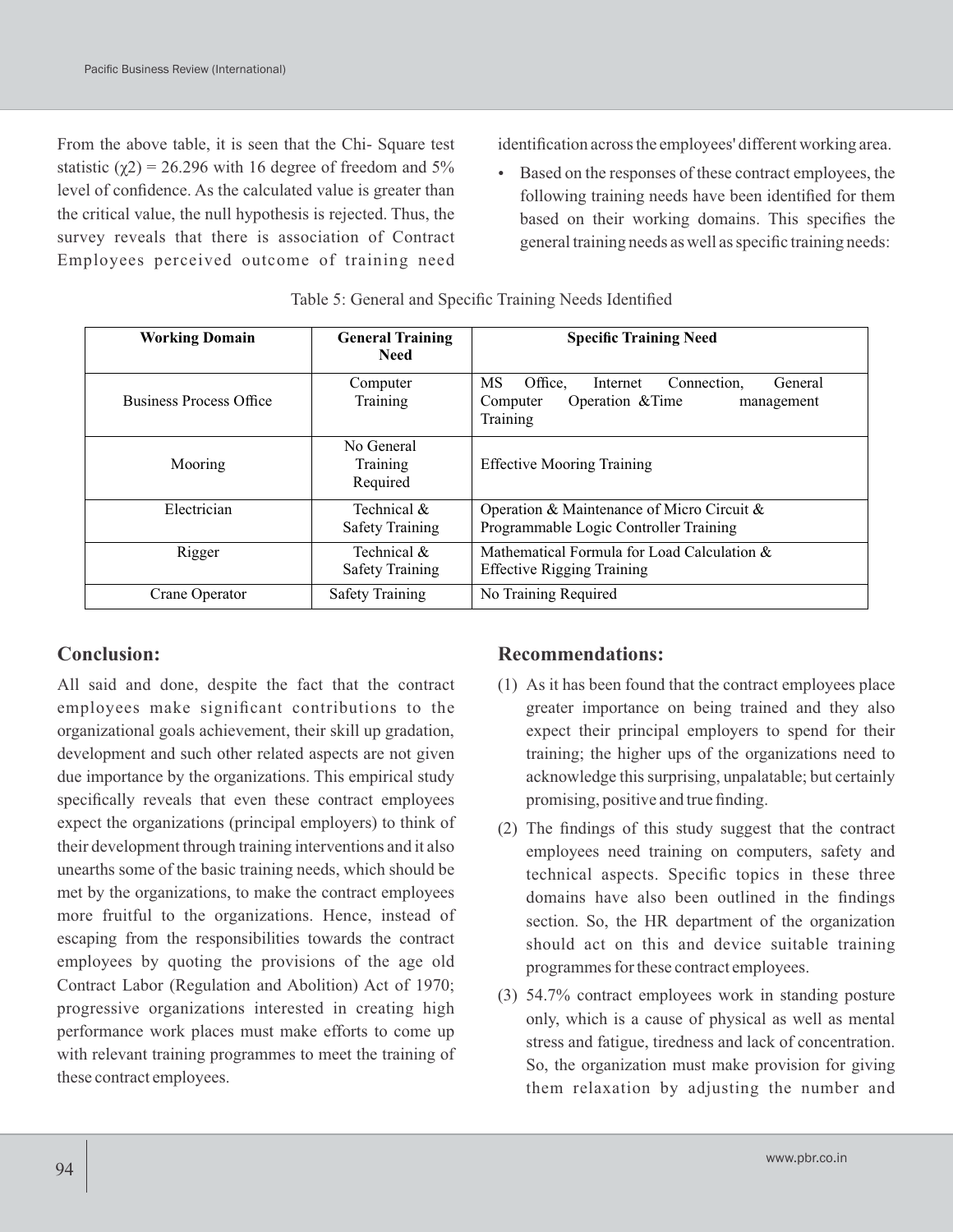From the above table, it is seen that the Chi- Square test statistic  $(\gamma 2) = 26.296$  with 16 degree of freedom and 5% level of confidence. As the calculated value is greater than the critical value, the null hypothesis is rejected. Thus, the survey reveals that there is association of Contract Employees perceived outcome of training need identification across the employees' different working area.

 Based on the responses of these contract employees, the following training needs have been identified for them based on their working domains. This specifies the general training needs as well as specific training needs:

| <b>Working Domain</b>                                   | <b>General Training</b><br><b>Need</b> | <b>Specific Training Need</b>                                                                                 |  |
|---------------------------------------------------------|----------------------------------------|---------------------------------------------------------------------------------------------------------------|--|
| <b>Business Process Office</b>                          | Computer<br>Training                   | Office.<br>МS<br>Connection.<br>General<br>Internet<br>Operation & Time<br>Computer<br>management<br>Training |  |
| Mooring                                                 | No General<br>Training<br>Required     | <b>Effective Mooring Training</b>                                                                             |  |
| Electrician<br>Technical $\&$<br><b>Safety Training</b> |                                        | Operation & Maintenance of Micro Circuit $\&$<br>Programmable Logic Controller Training                       |  |
| Rigger                                                  | Technical &<br><b>Safety Training</b>  | Mathematical Formula for Load Calculation &<br><b>Effective Rigging Training</b>                              |  |
| <b>Safety Training</b><br>Crane Operator                |                                        | No Training Required                                                                                          |  |

Table 5: General and Specific Training Needs Identified

# **Conclusion:**

All said and done, despite the fact that the contract employees make significant contributions to the organizational goals achievement, their skill up gradation, development and such other related aspects are not given due importance by the organizations. This empirical study specifically reveals that even these contract employees expect the organizations (principal employers) to think of their development through training interventions and it also unearths some of the basic training needs, which should be met by the organizations, to make the contract employees more fruitful to the organizations. Hence, instead of escaping from the responsibilities towards the contract employees by quoting the provisions of the age old Contract Labor (Regulation and Abolition) Act of 1970; progressive organizations interested in creating high performance work places must make efforts to come up with relevant training programmes to meet the training of these contract employees.

### **Recommendations:**

- (1) As it has been found that the contract employees place greater importance on being trained and they also expect their principal employers to spend for their training; the higher ups of the organizations need to acknowledge this surprising, unpalatable; but certainly promising, positive and true finding.
- (2) The findings of this study suggest that the contract employees need training on computers, safety and technical aspects. Specific topics in these three domains have also been outlined in the findings section. So, the HR department of the organization should act on this and device suitable training programmes for these contract employees.
- (3) 54.7% contract employees work in standing posture only, which is a cause of physical as well as mental stress and fatigue, tiredness and lack of concentration. So, the organization must make provision for giving them relaxation by adjusting the number and